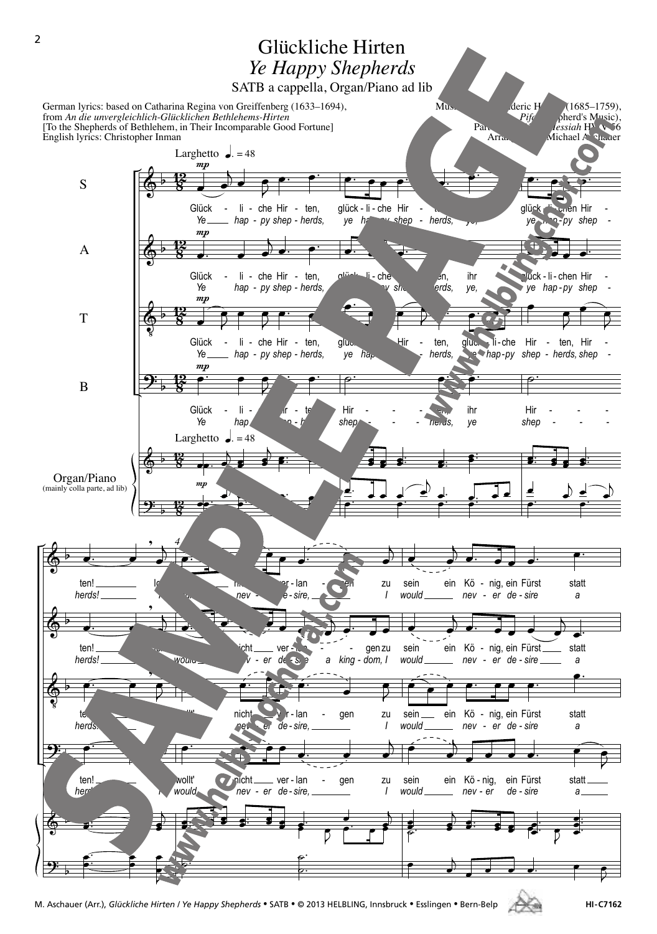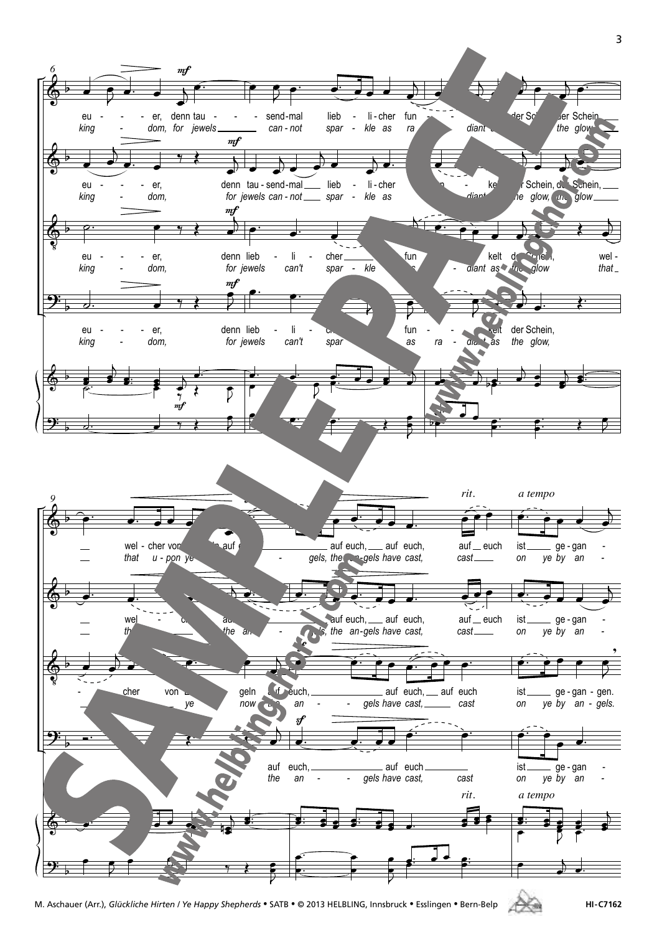

M. Aschauer (Arr.), *Glückliche Hirten / Ye Happy Shepherds* • SATB • © 2013 Helbling, Innsbruck • Esslingen • Bern-Belp **HI -C7162**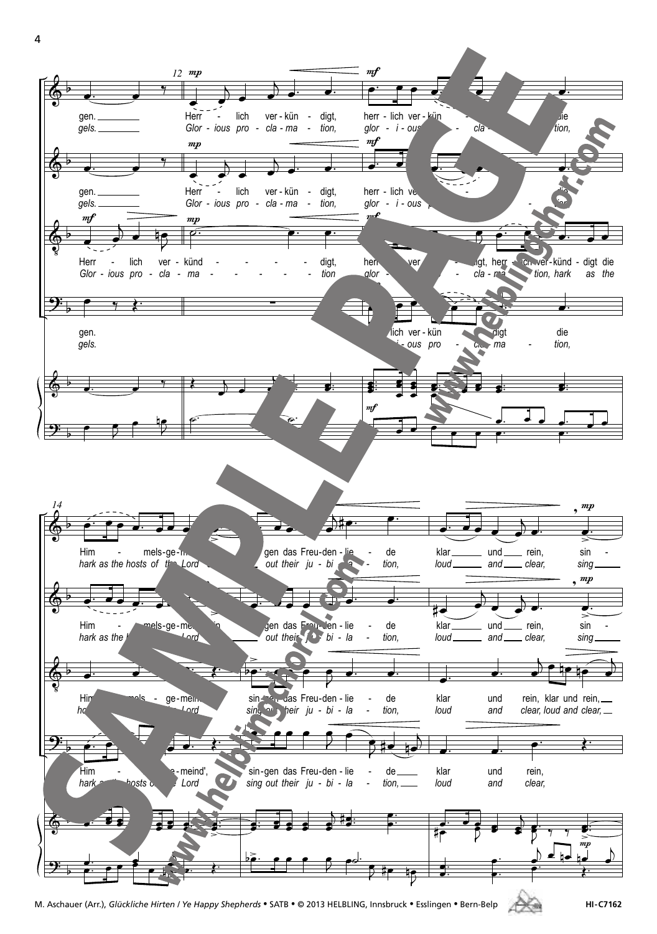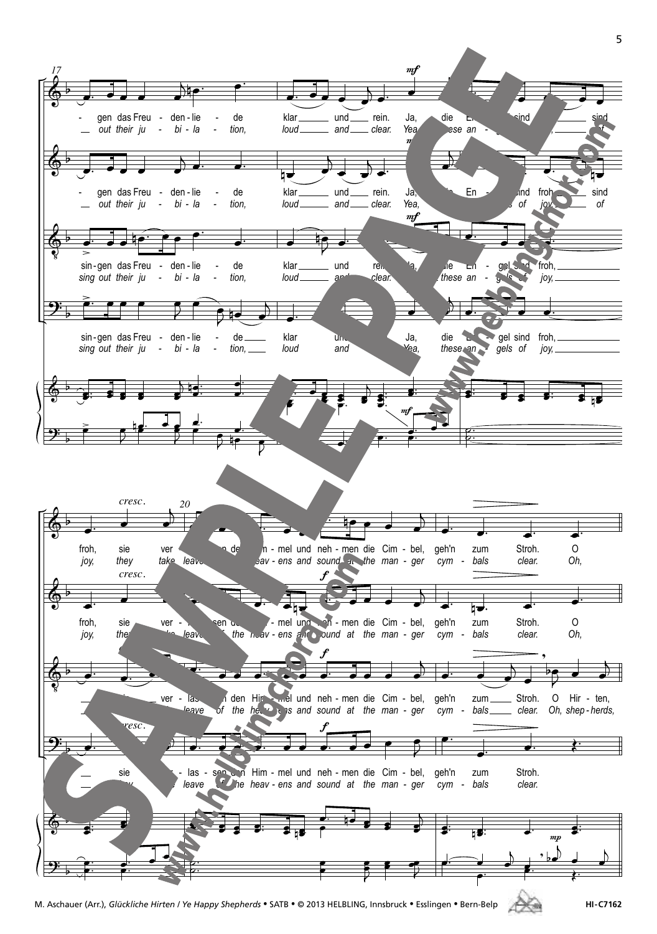

M. Aschauer (Arr.), Glückliche Hirten / Ye Happy Shepherds • SATB • © 2013 HELBLING, Innsbruck • Esslingen • Bern-Belp **HI-C7162**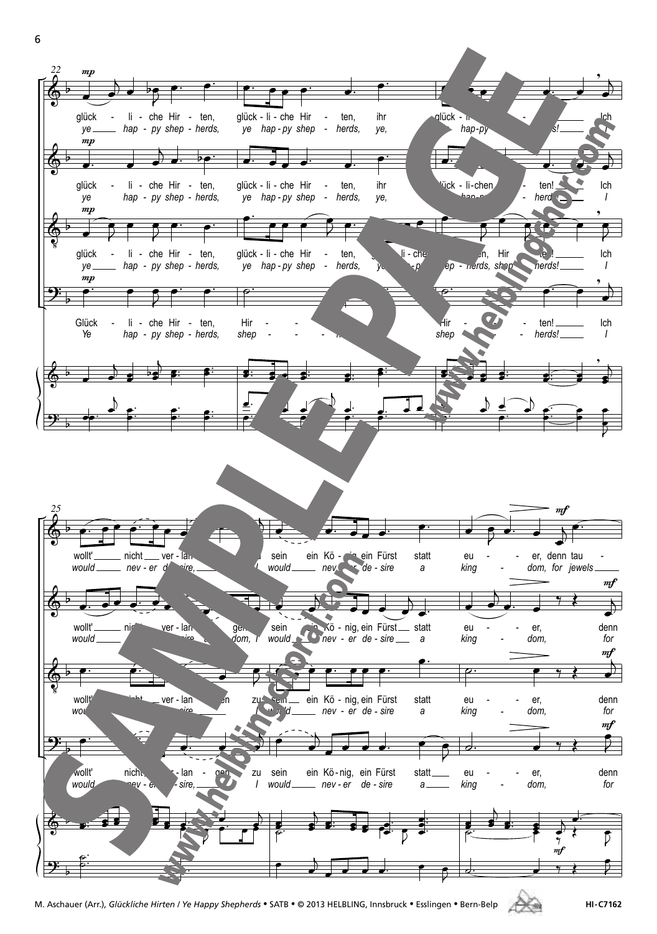



M. Aschauer (Arr.), Glückliche Hirten / Ye Happy Shepherds • SATB • © 2013 HELBLING, Innsbruck • Esslingen • Bern-Belp **HI-C7162**